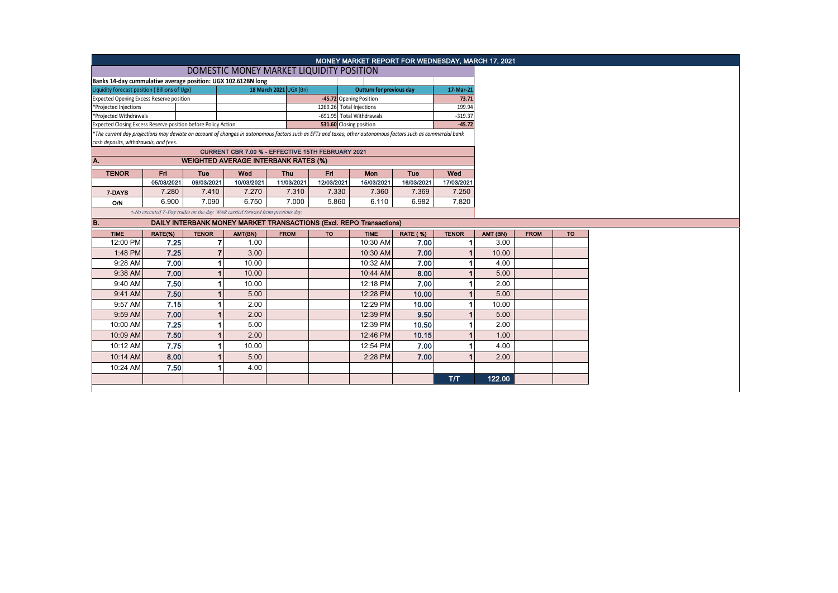|                                                                                                                                                                                                        |            |              |                                                                               |                        |                          | MONEY MARKET REPORT FOR WEDNESDAY, MARCH 17, 2021 |                 |              |          |             |           |
|--------------------------------------------------------------------------------------------------------------------------------------------------------------------------------------------------------|------------|--------------|-------------------------------------------------------------------------------|------------------------|--------------------------|---------------------------------------------------|-----------------|--------------|----------|-------------|-----------|
|                                                                                                                                                                                                        |            |              | DOMESTIC MONEY MARKET LIQUIDITY POSITION                                      |                        |                          |                                                   |                 |              |          |             |           |
| Banks 14-day cummulative average position: UGX 102.612BN long                                                                                                                                          |            |              |                                                                               |                        |                          |                                                   |                 |              |          |             |           |
| Liquidity forecast position (Billions of Ugx)                                                                                                                                                          |            |              |                                                                               | 18 March 2021 UGX (Bn) |                          | <b>Outturn for previous day</b>                   |                 | 17-Mar-21    |          |             |           |
| <b>Expected Opening Excess Reserve position</b>                                                                                                                                                        |            |              |                                                                               |                        | -45.72 Opening Position  |                                                   |                 | 73.71        |          |             |           |
| *Projected Injections                                                                                                                                                                                  |            |              |                                                                               |                        | 1269.26 Total Injections |                                                   |                 | 199.94       |          |             |           |
| *Projected Withdrawals                                                                                                                                                                                 |            |              |                                                                               |                        |                          | -691.95 Total Withdrawals                         |                 | $-319.37$    |          |             |           |
| Expected Closing Excess Reserve position before Policy Action                                                                                                                                          |            |              |                                                                               |                        | 531.60 Closing position  |                                                   |                 | $-45.72$     |          |             |           |
| *The current day projections may deviate on account of changes in autonomous factors such as EFTs and taxes; other autonomous factors such as commercial bank<br>cash deposits, withdrawals, and fees. |            |              |                                                                               |                        |                          |                                                   |                 |              |          |             |           |
|                                                                                                                                                                                                        |            |              | CURRENT CBR 7.00 % - EFFECTIVE 15TH FEBRUARY 2021                             |                        |                          |                                                   |                 |              |          |             |           |
| Α.                                                                                                                                                                                                     |            |              | <b>WEIGHTED AVERAGE INTERBANK RATES (%)</b>                                   |                        |                          |                                                   |                 |              |          |             |           |
| <b>TENOR</b>                                                                                                                                                                                           | Fri        | Tue          | Wed                                                                           | Thu                    | Fri                      | Mon                                               | Tue             | Wed          |          |             |           |
|                                                                                                                                                                                                        | 05/03/2021 | 09/03/2021   | 10/03/2021                                                                    | 11/03/2021             | 12/03/2021               | 15/03/2021                                        | 16/03/2021      | 17/03/2021   |          |             |           |
| 7-DAYS                                                                                                                                                                                                 | 7.280      | 7.410        | 7.270                                                                         | 7.310                  | 7.330                    | 7.360                                             | 7.369           | 7.250        |          |             |           |
| O/N                                                                                                                                                                                                    | 6.900      | 7.090        | 6.750                                                                         | 7.000                  | 5.860                    | 6.110                                             | 6.982           | 7.820        |          |             |           |
|                                                                                                                                                                                                        |            |              | *-No executed 7-Day trades on the day. WAR carried forward from previous day. |                        |                          |                                                   |                 |              |          |             |           |
| <b>B.</b>                                                                                                                                                                                              |            |              | DAILY INTERBANK MONEY MARKET TRANSACTIONS (Excl. REPO Transactions)           |                        |                          |                                                   |                 |              |          |             |           |
| <b>TIME</b>                                                                                                                                                                                            | RATE(%)    | <b>TENOR</b> | AMT(BN)                                                                       | <b>FROM</b>            | <b>TO</b>                | <b>TIME</b>                                       | <b>RATE (%)</b> | <b>TENOR</b> | AMT (BN) | <b>FROM</b> | <b>TO</b> |
| 12:00 PM                                                                                                                                                                                               | 7.25       |              | $\overline{7}$<br>1.00                                                        |                        |                          | 10:30 AM                                          | 7.00            | -1           | 3.00     |             |           |
| 1:48 PM                                                                                                                                                                                                | 7.25       |              | $\overline{7}$<br>3.00                                                        |                        |                          | 10:30 AM                                          | 7.00            |              | 10.00    |             |           |
| 9:28 AM                                                                                                                                                                                                | 7.00       |              | 10.00                                                                         |                        |                          | 10:32 AM                                          | 7.00            |              | 4.00     |             |           |
| 9:38 AM                                                                                                                                                                                                | 7.00       |              | 10.00                                                                         |                        |                          | 10:44 AM                                          | 8.00            |              | 5.00     |             |           |
| 9:40 AM                                                                                                                                                                                                | 7.50       |              | 10.00                                                                         |                        |                          | 12:18 PM                                          | 7.00            |              | 2.00     |             |           |
| 9:41 AM                                                                                                                                                                                                | 7.50       |              | 5.00                                                                          |                        |                          | 12:28 PM                                          | 10.00           |              | 5.00     |             |           |
| 9:57 AM                                                                                                                                                                                                | 7.15       |              | 2.00                                                                          |                        |                          | 12:29 PM                                          | 10.00           |              | 10.00    |             |           |
| 9:59 AM                                                                                                                                                                                                | 7.00       |              | 2.00                                                                          |                        |                          | 12:39 PM                                          | 9.50            |              | 5.00     |             |           |
| 10:00 AM                                                                                                                                                                                               | 7.25       |              | 5.00                                                                          |                        |                          | 12:39 PM                                          | 10.50           |              | 2.00     |             |           |
| 10:09 AM                                                                                                                                                                                               | 7.50       |              | 2.00                                                                          |                        |                          | 12:46 PM                                          | 10.15           |              | 1.00     |             |           |
| 10:12 AM                                                                                                                                                                                               | 7.75       |              | 10.00                                                                         |                        |                          | 12:54 PM                                          | 7.00            |              | 4.00     |             |           |
| 10:14 AM                                                                                                                                                                                               | 8.00       |              | 5.00                                                                          |                        |                          | 2:28 PM                                           | 7.00            |              | 2.00     |             |           |
| 10:24 AM                                                                                                                                                                                               | 7.50       |              | 4.00                                                                          |                        |                          |                                                   |                 |              |          |             |           |
|                                                                                                                                                                                                        |            |              |                                                                               |                        |                          |                                                   |                 |              |          |             |           |
|                                                                                                                                                                                                        |            |              |                                                                               |                        |                          |                                                   |                 | T/T          | 122.00   |             |           |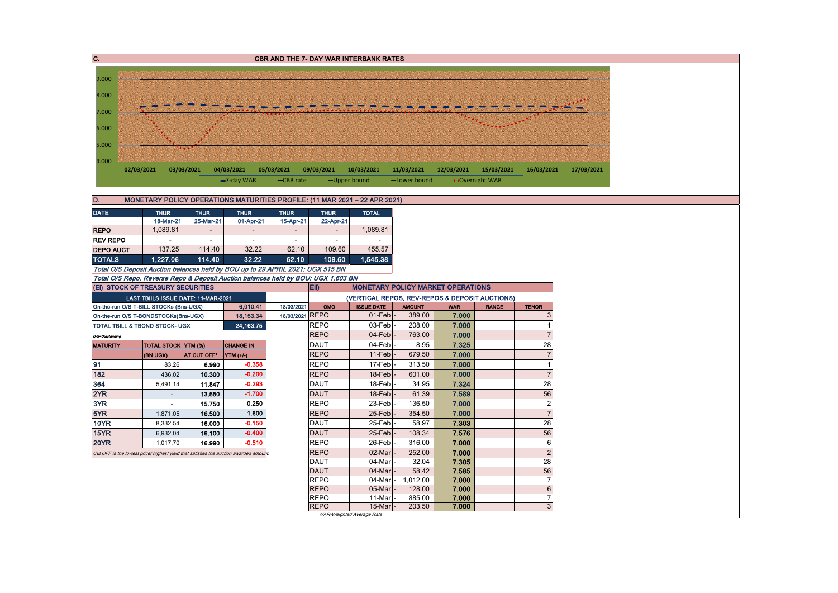| 9.000<br>8.000<br>7.000<br>6.000<br>5.000<br>4.000<br>02/03/2021<br>03/03/2021<br>04/03/2021<br>05/03/2021<br>09/03/2021<br>10/03/2021<br>11/03/2021<br>12/03/2021<br>15/03/2021<br>16/03/2021<br>• Overnight WAR<br>$-7$ -day WAR<br>-CBR rate<br>-Upper bound<br>-Lower bound<br>MONETARY POLICY OPERATIONS MATURITIES PROFILE: (11 MAR 2021 - 22 APR 2021)<br><b>THUR</b><br><b>THUR</b><br><b>THUR</b><br><b>THUR</b><br><b>THUR</b><br><b>TOTAL</b><br>18-Mar-21<br>25-Mar-21<br>01-Apr-21<br>15-Apr-21<br>22-Apr-21<br><b>REPO</b><br>1,089.81<br>1,089.81<br>$\overline{\phantom{a}}$<br>$\blacksquare$<br>$\sim$<br>$\blacksquare$<br><b>REV REPO</b><br>$\overline{\phantom{a}}$<br>$\overline{\phantom{a}}$<br>$\overline{\phantom{a}}$<br>$\overline{\phantom{a}}$<br>$\overline{\phantom{a}}$<br>$\overline{\phantom{a}}$<br><b>DEPO AUCT</b><br>137.25<br>32.22<br>114.40<br>62.10<br>109.60<br>455.57<br><b>TOTALS</b><br>1,227.06<br>114.40<br>32.22<br>62.10<br>109.60<br>1,545.38<br>Total O/S Deposit Auction balances held by BOU up to 29 APRIL 2021: UGX 515 BN<br>Total O/S Repo, Reverse Repo & Deposit Auction balances held by BOU: UGX 1,603 BN<br>(Ei) STOCK OF TREASURY SECURITIES<br>Eii)<br><b>MONETARY POLICY MARKET OPERATIONS</b><br>(VERTICAL REPOS, REV-REPOS & DEPOSIT AUCTIONS)<br>LAST TBIILS ISSUE DATE: 11-MAR-2021<br><b>ISSUE DATE</b><br>6,010.41<br>18/03/2021<br><b>AMOUNT</b><br><b>WAR</b><br>On-the-run O/S T-BILL STOCKs (Bns-UGX)<br>OMO<br><b>RANGE</b><br><b>TENOR</b><br>18/03/2021 REPO<br>$01$ -Feb $\vert$ -<br>7.000<br>389.00<br>18,153.34<br>3<br>On-the-run O/S T-BONDSTOCKs(Bns-UGX)<br><b>REPO</b><br>03-Feb<br>24, 163. 75<br>208.00<br>7.000<br><b>TOTAL TBILL &amp; TBOND STOCK- UGX</b><br>$\mathbf 1$<br><b>REPO</b><br>04-Feb<br>763.00<br>7.000<br>$\overline{7}$<br>O/S=Outstanding<br>04-Feb<br>28<br><b>DAUT</b><br>8.95<br>7.325<br>TOTAL STOCK YTM (%)<br><b>CHANGE IN</b><br><b>REPO</b><br>11-Feb<br>679.50<br>7.000<br>AT CUT OFF*<br>(BN UGX)<br>YTM (+/-)<br>$-0.358$<br><b>REPO</b><br>17-Feb<br>313.50<br>7.000<br>83.26<br>$\overline{1}$<br>6.990<br>182<br>$-0.200$<br><b>REPO</b><br>18-Feb<br>7.000<br>436.02<br>10.300<br>601.00<br>$\overline{7}$<br>28<br>364<br>$-0.293$<br><b>DAUT</b><br>18-Feb<br>34.95<br>7.324<br>5,491.14<br>11.847<br>2YR<br>$-1.700$<br><b>DAUT</b><br>18-Feb<br>61.39<br>7.589<br>56<br>13.550<br>$\omega$<br>$\overline{2}$<br>3YR<br>0.250<br><b>REPO</b><br>23-Feb<br>7.000<br>15.750<br>136.50<br>$\sim$<br><b>REPO</b><br>25-Feb<br>$\overline{7}$<br>1.600<br>354.50<br>7.000<br>1,871.05<br>16.500<br>28<br><b>10YR</b><br>$-0.150$<br>DAUT<br>25-Feb<br>58.97<br>7.303<br>8,332.54<br>16.000<br>$-0.400$<br>56<br>15YR<br><b>DAUT</b><br>25-Feb<br>7.576<br>16.100<br>108.34<br>6,932.04<br>6<br>20YR<br><b>REPO</b><br>26-Feb<br>7.000<br>16.990<br>$-0.510$<br>316.00<br>1,017.70<br><b>REPO</b><br>02-Mar<br>252.00<br>7.000<br>$\overline{2}$<br>Cut OFF is the lowest price/ highest yield that satisfies the auction awarded amount.<br>28<br><b>DAUT</b><br>04-Mar<br>32.04<br>7.305<br><b>DAUT</b><br>56<br>04-Mar<br>58.42<br>7.585<br><b>REPO</b><br>04-Mar -<br>1,012.00<br>7.000<br>$\overline{7}$<br><b>REPO</b><br>$05$ -Mar<br>7.000<br>$\,6\,$<br>128.00<br><b>REPO</b><br>7.000<br>$\overline{7}$<br>11-Mar<br>885.00<br><b>REPO</b><br>$15$ -Mar $-$<br>203.50<br>7.000<br>3<br>WAR-Weighted Average Rate | C.              |  |  | <b>CBR AND THE 7- DAY WAR INTERBANK RATES</b> |  |  |  |  |
|--------------------------------------------------------------------------------------------------------------------------------------------------------------------------------------------------------------------------------------------------------------------------------------------------------------------------------------------------------------------------------------------------------------------------------------------------------------------------------------------------------------------------------------------------------------------------------------------------------------------------------------------------------------------------------------------------------------------------------------------------------------------------------------------------------------------------------------------------------------------------------------------------------------------------------------------------------------------------------------------------------------------------------------------------------------------------------------------------------------------------------------------------------------------------------------------------------------------------------------------------------------------------------------------------------------------------------------------------------------------------------------------------------------------------------------------------------------------------------------------------------------------------------------------------------------------------------------------------------------------------------------------------------------------------------------------------------------------------------------------------------------------------------------------------------------------------------------------------------------------------------------------------------------------------------------------------------------------------------------------------------------------------------------------------------------------------------------------------------------------------------------------------------------------------------------------------------------------------------------------------------------------------------------------------------------------------------------------------------------------------------------------------------------------------------------------------------------------------------------------------------------------------------------------------------------------------------------------------------------------------------------------------------------------------------------------------------------------------------------------------------------------------------------------------------------------------------------------------------------------------------------------------------------------------------------------------------------------------------------------------------------------------------------------------------------------------------------------------------------------------------------------------------------------------------------------------------------------------------------------------------------------------------------------------------------------------------------------------------------------------------------------------------------------------------------------------------|-----------------|--|--|-----------------------------------------------|--|--|--|--|
|                                                                                                                                                                                                                                                                                                                                                                                                                                                                                                                                                                                                                                                                                                                                                                                                                                                                                                                                                                                                                                                                                                                                                                                                                                                                                                                                                                                                                                                                                                                                                                                                                                                                                                                                                                                                                                                                                                                                                                                                                                                                                                                                                                                                                                                                                                                                                                                                                                                                                                                                                                                                                                                                                                                                                                                                                                                                                                                                                                                                                                                                                                                                                                                                                                                                                                                                                                                                                                                        |                 |  |  |                                               |  |  |  |  |
|                                                                                                                                                                                                                                                                                                                                                                                                                                                                                                                                                                                                                                                                                                                                                                                                                                                                                                                                                                                                                                                                                                                                                                                                                                                                                                                                                                                                                                                                                                                                                                                                                                                                                                                                                                                                                                                                                                                                                                                                                                                                                                                                                                                                                                                                                                                                                                                                                                                                                                                                                                                                                                                                                                                                                                                                                                                                                                                                                                                                                                                                                                                                                                                                                                                                                                                                                                                                                                                        |                 |  |  |                                               |  |  |  |  |
|                                                                                                                                                                                                                                                                                                                                                                                                                                                                                                                                                                                                                                                                                                                                                                                                                                                                                                                                                                                                                                                                                                                                                                                                                                                                                                                                                                                                                                                                                                                                                                                                                                                                                                                                                                                                                                                                                                                                                                                                                                                                                                                                                                                                                                                                                                                                                                                                                                                                                                                                                                                                                                                                                                                                                                                                                                                                                                                                                                                                                                                                                                                                                                                                                                                                                                                                                                                                                                                        |                 |  |  |                                               |  |  |  |  |
|                                                                                                                                                                                                                                                                                                                                                                                                                                                                                                                                                                                                                                                                                                                                                                                                                                                                                                                                                                                                                                                                                                                                                                                                                                                                                                                                                                                                                                                                                                                                                                                                                                                                                                                                                                                                                                                                                                                                                                                                                                                                                                                                                                                                                                                                                                                                                                                                                                                                                                                                                                                                                                                                                                                                                                                                                                                                                                                                                                                                                                                                                                                                                                                                                                                                                                                                                                                                                                                        |                 |  |  |                                               |  |  |  |  |
|                                                                                                                                                                                                                                                                                                                                                                                                                                                                                                                                                                                                                                                                                                                                                                                                                                                                                                                                                                                                                                                                                                                                                                                                                                                                                                                                                                                                                                                                                                                                                                                                                                                                                                                                                                                                                                                                                                                                                                                                                                                                                                                                                                                                                                                                                                                                                                                                                                                                                                                                                                                                                                                                                                                                                                                                                                                                                                                                                                                                                                                                                                                                                                                                                                                                                                                                                                                                                                                        |                 |  |  |                                               |  |  |  |  |
|                                                                                                                                                                                                                                                                                                                                                                                                                                                                                                                                                                                                                                                                                                                                                                                                                                                                                                                                                                                                                                                                                                                                                                                                                                                                                                                                                                                                                                                                                                                                                                                                                                                                                                                                                                                                                                                                                                                                                                                                                                                                                                                                                                                                                                                                                                                                                                                                                                                                                                                                                                                                                                                                                                                                                                                                                                                                                                                                                                                                                                                                                                                                                                                                                                                                                                                                                                                                                                                        |                 |  |  |                                               |  |  |  |  |
|                                                                                                                                                                                                                                                                                                                                                                                                                                                                                                                                                                                                                                                                                                                                                                                                                                                                                                                                                                                                                                                                                                                                                                                                                                                                                                                                                                                                                                                                                                                                                                                                                                                                                                                                                                                                                                                                                                                                                                                                                                                                                                                                                                                                                                                                                                                                                                                                                                                                                                                                                                                                                                                                                                                                                                                                                                                                                                                                                                                                                                                                                                                                                                                                                                                                                                                                                                                                                                                        |                 |  |  |                                               |  |  |  |  |
|                                                                                                                                                                                                                                                                                                                                                                                                                                                                                                                                                                                                                                                                                                                                                                                                                                                                                                                                                                                                                                                                                                                                                                                                                                                                                                                                                                                                                                                                                                                                                                                                                                                                                                                                                                                                                                                                                                                                                                                                                                                                                                                                                                                                                                                                                                                                                                                                                                                                                                                                                                                                                                                                                                                                                                                                                                                                                                                                                                                                                                                                                                                                                                                                                                                                                                                                                                                                                                                        |                 |  |  |                                               |  |  |  |  |
|                                                                                                                                                                                                                                                                                                                                                                                                                                                                                                                                                                                                                                                                                                                                                                                                                                                                                                                                                                                                                                                                                                                                                                                                                                                                                                                                                                                                                                                                                                                                                                                                                                                                                                                                                                                                                                                                                                                                                                                                                                                                                                                                                                                                                                                                                                                                                                                                                                                                                                                                                                                                                                                                                                                                                                                                                                                                                                                                                                                                                                                                                                                                                                                                                                                                                                                                                                                                                                                        |                 |  |  |                                               |  |  |  |  |
|                                                                                                                                                                                                                                                                                                                                                                                                                                                                                                                                                                                                                                                                                                                                                                                                                                                                                                                                                                                                                                                                                                                                                                                                                                                                                                                                                                                                                                                                                                                                                                                                                                                                                                                                                                                                                                                                                                                                                                                                                                                                                                                                                                                                                                                                                                                                                                                                                                                                                                                                                                                                                                                                                                                                                                                                                                                                                                                                                                                                                                                                                                                                                                                                                                                                                                                                                                                                                                                        |                 |  |  |                                               |  |  |  |  |
|                                                                                                                                                                                                                                                                                                                                                                                                                                                                                                                                                                                                                                                                                                                                                                                                                                                                                                                                                                                                                                                                                                                                                                                                                                                                                                                                                                                                                                                                                                                                                                                                                                                                                                                                                                                                                                                                                                                                                                                                                                                                                                                                                                                                                                                                                                                                                                                                                                                                                                                                                                                                                                                                                                                                                                                                                                                                                                                                                                                                                                                                                                                                                                                                                                                                                                                                                                                                                                                        |                 |  |  |                                               |  |  |  |  |
|                                                                                                                                                                                                                                                                                                                                                                                                                                                                                                                                                                                                                                                                                                                                                                                                                                                                                                                                                                                                                                                                                                                                                                                                                                                                                                                                                                                                                                                                                                                                                                                                                                                                                                                                                                                                                                                                                                                                                                                                                                                                                                                                                                                                                                                                                                                                                                                                                                                                                                                                                                                                                                                                                                                                                                                                                                                                                                                                                                                                                                                                                                                                                                                                                                                                                                                                                                                                                                                        | D.              |  |  |                                               |  |  |  |  |
|                                                                                                                                                                                                                                                                                                                                                                                                                                                                                                                                                                                                                                                                                                                                                                                                                                                                                                                                                                                                                                                                                                                                                                                                                                                                                                                                                                                                                                                                                                                                                                                                                                                                                                                                                                                                                                                                                                                                                                                                                                                                                                                                                                                                                                                                                                                                                                                                                                                                                                                                                                                                                                                                                                                                                                                                                                                                                                                                                                                                                                                                                                                                                                                                                                                                                                                                                                                                                                                        | <b>DATE</b>     |  |  |                                               |  |  |  |  |
|                                                                                                                                                                                                                                                                                                                                                                                                                                                                                                                                                                                                                                                                                                                                                                                                                                                                                                                                                                                                                                                                                                                                                                                                                                                                                                                                                                                                                                                                                                                                                                                                                                                                                                                                                                                                                                                                                                                                                                                                                                                                                                                                                                                                                                                                                                                                                                                                                                                                                                                                                                                                                                                                                                                                                                                                                                                                                                                                                                                                                                                                                                                                                                                                                                                                                                                                                                                                                                                        |                 |  |  |                                               |  |  |  |  |
|                                                                                                                                                                                                                                                                                                                                                                                                                                                                                                                                                                                                                                                                                                                                                                                                                                                                                                                                                                                                                                                                                                                                                                                                                                                                                                                                                                                                                                                                                                                                                                                                                                                                                                                                                                                                                                                                                                                                                                                                                                                                                                                                                                                                                                                                                                                                                                                                                                                                                                                                                                                                                                                                                                                                                                                                                                                                                                                                                                                                                                                                                                                                                                                                                                                                                                                                                                                                                                                        |                 |  |  |                                               |  |  |  |  |
|                                                                                                                                                                                                                                                                                                                                                                                                                                                                                                                                                                                                                                                                                                                                                                                                                                                                                                                                                                                                                                                                                                                                                                                                                                                                                                                                                                                                                                                                                                                                                                                                                                                                                                                                                                                                                                                                                                                                                                                                                                                                                                                                                                                                                                                                                                                                                                                                                                                                                                                                                                                                                                                                                                                                                                                                                                                                                                                                                                                                                                                                                                                                                                                                                                                                                                                                                                                                                                                        |                 |  |  |                                               |  |  |  |  |
|                                                                                                                                                                                                                                                                                                                                                                                                                                                                                                                                                                                                                                                                                                                                                                                                                                                                                                                                                                                                                                                                                                                                                                                                                                                                                                                                                                                                                                                                                                                                                                                                                                                                                                                                                                                                                                                                                                                                                                                                                                                                                                                                                                                                                                                                                                                                                                                                                                                                                                                                                                                                                                                                                                                                                                                                                                                                                                                                                                                                                                                                                                                                                                                                                                                                                                                                                                                                                                                        |                 |  |  |                                               |  |  |  |  |
|                                                                                                                                                                                                                                                                                                                                                                                                                                                                                                                                                                                                                                                                                                                                                                                                                                                                                                                                                                                                                                                                                                                                                                                                                                                                                                                                                                                                                                                                                                                                                                                                                                                                                                                                                                                                                                                                                                                                                                                                                                                                                                                                                                                                                                                                                                                                                                                                                                                                                                                                                                                                                                                                                                                                                                                                                                                                                                                                                                                                                                                                                                                                                                                                                                                                                                                                                                                                                                                        |                 |  |  |                                               |  |  |  |  |
|                                                                                                                                                                                                                                                                                                                                                                                                                                                                                                                                                                                                                                                                                                                                                                                                                                                                                                                                                                                                                                                                                                                                                                                                                                                                                                                                                                                                                                                                                                                                                                                                                                                                                                                                                                                                                                                                                                                                                                                                                                                                                                                                                                                                                                                                                                                                                                                                                                                                                                                                                                                                                                                                                                                                                                                                                                                                                                                                                                                                                                                                                                                                                                                                                                                                                                                                                                                                                                                        |                 |  |  |                                               |  |  |  |  |
|                                                                                                                                                                                                                                                                                                                                                                                                                                                                                                                                                                                                                                                                                                                                                                                                                                                                                                                                                                                                                                                                                                                                                                                                                                                                                                                                                                                                                                                                                                                                                                                                                                                                                                                                                                                                                                                                                                                                                                                                                                                                                                                                                                                                                                                                                                                                                                                                                                                                                                                                                                                                                                                                                                                                                                                                                                                                                                                                                                                                                                                                                                                                                                                                                                                                                                                                                                                                                                                        |                 |  |  |                                               |  |  |  |  |
|                                                                                                                                                                                                                                                                                                                                                                                                                                                                                                                                                                                                                                                                                                                                                                                                                                                                                                                                                                                                                                                                                                                                                                                                                                                                                                                                                                                                                                                                                                                                                                                                                                                                                                                                                                                                                                                                                                                                                                                                                                                                                                                                                                                                                                                                                                                                                                                                                                                                                                                                                                                                                                                                                                                                                                                                                                                                                                                                                                                                                                                                                                                                                                                                                                                                                                                                                                                                                                                        |                 |  |  |                                               |  |  |  |  |
|                                                                                                                                                                                                                                                                                                                                                                                                                                                                                                                                                                                                                                                                                                                                                                                                                                                                                                                                                                                                                                                                                                                                                                                                                                                                                                                                                                                                                                                                                                                                                                                                                                                                                                                                                                                                                                                                                                                                                                                                                                                                                                                                                                                                                                                                                                                                                                                                                                                                                                                                                                                                                                                                                                                                                                                                                                                                                                                                                                                                                                                                                                                                                                                                                                                                                                                                                                                                                                                        |                 |  |  |                                               |  |  |  |  |
|                                                                                                                                                                                                                                                                                                                                                                                                                                                                                                                                                                                                                                                                                                                                                                                                                                                                                                                                                                                                                                                                                                                                                                                                                                                                                                                                                                                                                                                                                                                                                                                                                                                                                                                                                                                                                                                                                                                                                                                                                                                                                                                                                                                                                                                                                                                                                                                                                                                                                                                                                                                                                                                                                                                                                                                                                                                                                                                                                                                                                                                                                                                                                                                                                                                                                                                                                                                                                                                        |                 |  |  |                                               |  |  |  |  |
|                                                                                                                                                                                                                                                                                                                                                                                                                                                                                                                                                                                                                                                                                                                                                                                                                                                                                                                                                                                                                                                                                                                                                                                                                                                                                                                                                                                                                                                                                                                                                                                                                                                                                                                                                                                                                                                                                                                                                                                                                                                                                                                                                                                                                                                                                                                                                                                                                                                                                                                                                                                                                                                                                                                                                                                                                                                                                                                                                                                                                                                                                                                                                                                                                                                                                                                                                                                                                                                        |                 |  |  |                                               |  |  |  |  |
|                                                                                                                                                                                                                                                                                                                                                                                                                                                                                                                                                                                                                                                                                                                                                                                                                                                                                                                                                                                                                                                                                                                                                                                                                                                                                                                                                                                                                                                                                                                                                                                                                                                                                                                                                                                                                                                                                                                                                                                                                                                                                                                                                                                                                                                                                                                                                                                                                                                                                                                                                                                                                                                                                                                                                                                                                                                                                                                                                                                                                                                                                                                                                                                                                                                                                                                                                                                                                                                        | <b>MATURITY</b> |  |  |                                               |  |  |  |  |
|                                                                                                                                                                                                                                                                                                                                                                                                                                                                                                                                                                                                                                                                                                                                                                                                                                                                                                                                                                                                                                                                                                                                                                                                                                                                                                                                                                                                                                                                                                                                                                                                                                                                                                                                                                                                                                                                                                                                                                                                                                                                                                                                                                                                                                                                                                                                                                                                                                                                                                                                                                                                                                                                                                                                                                                                                                                                                                                                                                                                                                                                                                                                                                                                                                                                                                                                                                                                                                                        |                 |  |  |                                               |  |  |  |  |
|                                                                                                                                                                                                                                                                                                                                                                                                                                                                                                                                                                                                                                                                                                                                                                                                                                                                                                                                                                                                                                                                                                                                                                                                                                                                                                                                                                                                                                                                                                                                                                                                                                                                                                                                                                                                                                                                                                                                                                                                                                                                                                                                                                                                                                                                                                                                                                                                                                                                                                                                                                                                                                                                                                                                                                                                                                                                                                                                                                                                                                                                                                                                                                                                                                                                                                                                                                                                                                                        | 91              |  |  |                                               |  |  |  |  |
|                                                                                                                                                                                                                                                                                                                                                                                                                                                                                                                                                                                                                                                                                                                                                                                                                                                                                                                                                                                                                                                                                                                                                                                                                                                                                                                                                                                                                                                                                                                                                                                                                                                                                                                                                                                                                                                                                                                                                                                                                                                                                                                                                                                                                                                                                                                                                                                                                                                                                                                                                                                                                                                                                                                                                                                                                                                                                                                                                                                                                                                                                                                                                                                                                                                                                                                                                                                                                                                        |                 |  |  |                                               |  |  |  |  |
|                                                                                                                                                                                                                                                                                                                                                                                                                                                                                                                                                                                                                                                                                                                                                                                                                                                                                                                                                                                                                                                                                                                                                                                                                                                                                                                                                                                                                                                                                                                                                                                                                                                                                                                                                                                                                                                                                                                                                                                                                                                                                                                                                                                                                                                                                                                                                                                                                                                                                                                                                                                                                                                                                                                                                                                                                                                                                                                                                                                                                                                                                                                                                                                                                                                                                                                                                                                                                                                        |                 |  |  |                                               |  |  |  |  |
|                                                                                                                                                                                                                                                                                                                                                                                                                                                                                                                                                                                                                                                                                                                                                                                                                                                                                                                                                                                                                                                                                                                                                                                                                                                                                                                                                                                                                                                                                                                                                                                                                                                                                                                                                                                                                                                                                                                                                                                                                                                                                                                                                                                                                                                                                                                                                                                                                                                                                                                                                                                                                                                                                                                                                                                                                                                                                                                                                                                                                                                                                                                                                                                                                                                                                                                                                                                                                                                        |                 |  |  |                                               |  |  |  |  |
|                                                                                                                                                                                                                                                                                                                                                                                                                                                                                                                                                                                                                                                                                                                                                                                                                                                                                                                                                                                                                                                                                                                                                                                                                                                                                                                                                                                                                                                                                                                                                                                                                                                                                                                                                                                                                                                                                                                                                                                                                                                                                                                                                                                                                                                                                                                                                                                                                                                                                                                                                                                                                                                                                                                                                                                                                                                                                                                                                                                                                                                                                                                                                                                                                                                                                                                                                                                                                                                        | 5YR             |  |  |                                               |  |  |  |  |
|                                                                                                                                                                                                                                                                                                                                                                                                                                                                                                                                                                                                                                                                                                                                                                                                                                                                                                                                                                                                                                                                                                                                                                                                                                                                                                                                                                                                                                                                                                                                                                                                                                                                                                                                                                                                                                                                                                                                                                                                                                                                                                                                                                                                                                                                                                                                                                                                                                                                                                                                                                                                                                                                                                                                                                                                                                                                                                                                                                                                                                                                                                                                                                                                                                                                                                                                                                                                                                                        |                 |  |  |                                               |  |  |  |  |
|                                                                                                                                                                                                                                                                                                                                                                                                                                                                                                                                                                                                                                                                                                                                                                                                                                                                                                                                                                                                                                                                                                                                                                                                                                                                                                                                                                                                                                                                                                                                                                                                                                                                                                                                                                                                                                                                                                                                                                                                                                                                                                                                                                                                                                                                                                                                                                                                                                                                                                                                                                                                                                                                                                                                                                                                                                                                                                                                                                                                                                                                                                                                                                                                                                                                                                                                                                                                                                                        |                 |  |  |                                               |  |  |  |  |
|                                                                                                                                                                                                                                                                                                                                                                                                                                                                                                                                                                                                                                                                                                                                                                                                                                                                                                                                                                                                                                                                                                                                                                                                                                                                                                                                                                                                                                                                                                                                                                                                                                                                                                                                                                                                                                                                                                                                                                                                                                                                                                                                                                                                                                                                                                                                                                                                                                                                                                                                                                                                                                                                                                                                                                                                                                                                                                                                                                                                                                                                                                                                                                                                                                                                                                                                                                                                                                                        |                 |  |  |                                               |  |  |  |  |
|                                                                                                                                                                                                                                                                                                                                                                                                                                                                                                                                                                                                                                                                                                                                                                                                                                                                                                                                                                                                                                                                                                                                                                                                                                                                                                                                                                                                                                                                                                                                                                                                                                                                                                                                                                                                                                                                                                                                                                                                                                                                                                                                                                                                                                                                                                                                                                                                                                                                                                                                                                                                                                                                                                                                                                                                                                                                                                                                                                                                                                                                                                                                                                                                                                                                                                                                                                                                                                                        |                 |  |  |                                               |  |  |  |  |
|                                                                                                                                                                                                                                                                                                                                                                                                                                                                                                                                                                                                                                                                                                                                                                                                                                                                                                                                                                                                                                                                                                                                                                                                                                                                                                                                                                                                                                                                                                                                                                                                                                                                                                                                                                                                                                                                                                                                                                                                                                                                                                                                                                                                                                                                                                                                                                                                                                                                                                                                                                                                                                                                                                                                                                                                                                                                                                                                                                                                                                                                                                                                                                                                                                                                                                                                                                                                                                                        |                 |  |  |                                               |  |  |  |  |
|                                                                                                                                                                                                                                                                                                                                                                                                                                                                                                                                                                                                                                                                                                                                                                                                                                                                                                                                                                                                                                                                                                                                                                                                                                                                                                                                                                                                                                                                                                                                                                                                                                                                                                                                                                                                                                                                                                                                                                                                                                                                                                                                                                                                                                                                                                                                                                                                                                                                                                                                                                                                                                                                                                                                                                                                                                                                                                                                                                                                                                                                                                                                                                                                                                                                                                                                                                                                                                                        |                 |  |  |                                               |  |  |  |  |
|                                                                                                                                                                                                                                                                                                                                                                                                                                                                                                                                                                                                                                                                                                                                                                                                                                                                                                                                                                                                                                                                                                                                                                                                                                                                                                                                                                                                                                                                                                                                                                                                                                                                                                                                                                                                                                                                                                                                                                                                                                                                                                                                                                                                                                                                                                                                                                                                                                                                                                                                                                                                                                                                                                                                                                                                                                                                                                                                                                                                                                                                                                                                                                                                                                                                                                                                                                                                                                                        |                 |  |  |                                               |  |  |  |  |
|                                                                                                                                                                                                                                                                                                                                                                                                                                                                                                                                                                                                                                                                                                                                                                                                                                                                                                                                                                                                                                                                                                                                                                                                                                                                                                                                                                                                                                                                                                                                                                                                                                                                                                                                                                                                                                                                                                                                                                                                                                                                                                                                                                                                                                                                                                                                                                                                                                                                                                                                                                                                                                                                                                                                                                                                                                                                                                                                                                                                                                                                                                                                                                                                                                                                                                                                                                                                                                                        |                 |  |  |                                               |  |  |  |  |
|                                                                                                                                                                                                                                                                                                                                                                                                                                                                                                                                                                                                                                                                                                                                                                                                                                                                                                                                                                                                                                                                                                                                                                                                                                                                                                                                                                                                                                                                                                                                                                                                                                                                                                                                                                                                                                                                                                                                                                                                                                                                                                                                                                                                                                                                                                                                                                                                                                                                                                                                                                                                                                                                                                                                                                                                                                                                                                                                                                                                                                                                                                                                                                                                                                                                                                                                                                                                                                                        |                 |  |  |                                               |  |  |  |  |